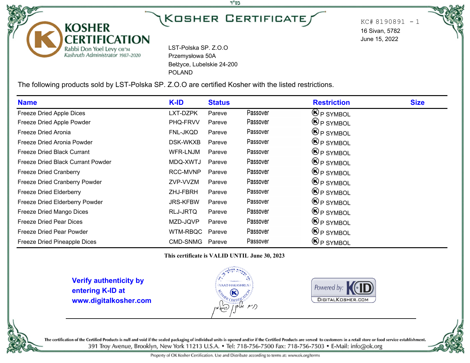## í J

בס"ד

 $KC# 8190891 - 1$ 16 Sivan, 5782 June 15, 2022

LST-Polska SP. Z.O.O Przemysłowa 50A Bełżyce, Lubelskie 24-200 POLAND

The following products sold by LST-Polska SP. Z.O.O are certified Kosher with the listed restrictions.

| <b>Name</b>                       | K-ID            | <b>Status</b> |          | <b>Restriction</b>                    | <b>Size</b> |
|-----------------------------------|-----------------|---------------|----------|---------------------------------------|-------------|
| Freeze Dried Apple Dices          | LXT-DZPK        | Pareve        | Passover | $\mathbf{\Theta}$ P SYMBOL            |             |
| Freeze Dried Apple Powder         | PHQ-FRVV        | Pareve        | Passover | $\bigcirc$ P SYMBOL                   |             |
| Freeze Dried Aronia               | FNL-JKQD        | Pareve        | Passover | $\bigcirc$ P SYMBOL                   |             |
| Freeze Dried Aronia Powder        | DSK-WKXB        | Pareve        | Passover | $\mathbf{\Theta}_{\mathsf{P}}$ SYMBOL |             |
| Freeze Dried Black Currant        | WFR-LNJM        | Pareve        | Passover | $\bigcirc$ P SYMBOL                   |             |
| Freeze Dried Black Currant Powder | MDQ-XWTJ        | Pareve        | Passover | $\bigcirc$ P SYMBOL                   |             |
| <b>Freeze Dried Cranberry</b>     | RCC-MVNP        | Pareve        | Passover | $\mathbf{\Theta}$ P SYMBOL            |             |
| Freeze Dried Cranberry Powder     | ZVP-VVZM        | Pareve        | Passover | $\bigcirc$ P SYMBOL                   |             |
| <b>Freeze Dried Elderberry</b>    | ZHJ-FBRH        | Pareve        | Passover | $\bigcirc$ P SYMBOL                   |             |
| Freeze Dried Elderberry Powder    | <b>JRS-KFBW</b> | Pareve        | Passover | $\bigcirc$ P SYMBOL                   |             |
| Freeze Dried Mango Dices          | RLJ-JRTQ        | Pareve        | Passover | $\bigcirc$ P SYMBOL                   |             |
| <b>Freeze Dried Pear Dices</b>    | MZD-JQVP        | Pareve        | Passover | $\bigcirc$ P SYMBOL                   |             |
| Freeze Dried Pear Powder          | WTM-RBQC        | Pareve        | Passover | $\bigcirc$ P SYMBOL                   |             |
| Freeze Dried Pineapple Dices      | CMD-SNMG        | Pareve        | Passover | $\bigotimes_{P}$ SYMBOL               |             |

**This certificate is VALID UNTIL June 30, 2023**

**Verify authenticity by entering K-ID at www.digitalkosher.com**

**KOSHER** 

**CERTIFICATION** 

Rabbi Don Yoel Levy OB"M<br>Kashruth Administrator 1987-2020







The certification of the Certified Products is null and void if the sealed packaging of individual units is opened and/or if the Certified Products are served to customers in a retail store or food service establishment. 391 Troy Avenue, Brooklyn, New York 11213 U.S.A. . Tel: 718-756-7500 Fax: 718-756-7503 . E-Mail: info@ok.org

Property of OK Kosher Certification. Use and Distribute according to terms at: www.ok.org/terms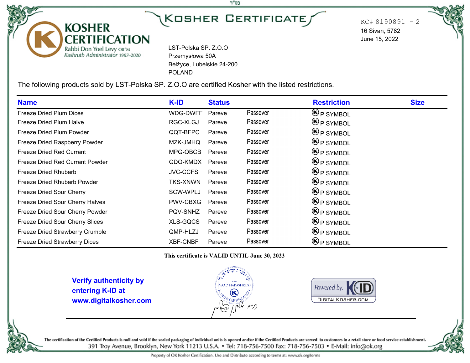## í J

בס"ד

 $KC# 8190891 - 2$ 16 Sivan, 5782 June 15, 2022

LST-Polska SP. Z.O.O Przemysłowa 50A Bełżyce, Lubelskie 24-200 POLAND

The following products sold by LST-Polska SP. Z.O.O are certified Kosher with the listed restrictions.

| <b>Name</b>                          | K-ID            | <b>Status</b> |          | <b>Restriction</b>                    | <b>Size</b> |
|--------------------------------------|-----------------|---------------|----------|---------------------------------------|-------------|
| Freeze Dried Plum Dices              | WDG-DWFF        | Pareve        | Passover | $\mathbf{\Theta}$ P SYMBOL            |             |
| Freeze Dried Plum Halve              | RGC-XLGJ        | Pareve        | Passover | $\mathfrak{G}_{\mathsf{P}}$ SYMBOL    |             |
| Freeze Dried Plum Powder             | QQT-BFPC        | Pareve        | Passover | $\bigcirc$ P SYMBOL                   |             |
| Freeze Dried Raspberry Powder        | MZK-JMHQ        | Pareve        | Passover | $\mathbf{\Theta}_{\mathsf{P}}$ SYMBOL |             |
| <b>Freeze Dried Red Currant</b>      | MPG-QBCB        | Pareve        | Passover | $\mathbf{\Theta}_{\mathsf{P}}$ SYMBOL |             |
| Freeze Dried Red Currant Powder      | GDQ-KMDX        | Pareve        | Passover | $\mathbf{\Theta}_{\mathsf{P}}$ SYMBOL |             |
| Freeze Dried Rhubarb                 | <b>JVC-CCFS</b> | Pareve        | Passover | $\bigcirc$ P SYMBOL                   |             |
| Freeze Dried Rhubarb Powder          | <b>TKS-XNWN</b> | Pareve        | Passover | $\mathbf{\Theta}_{\mathsf{P}}$ SYMBOL |             |
| Freeze Dried Sour Cherry             | SCW-WPLJ        | Pareve        | Passover | $\bigcirc$ P SYMBOL                   |             |
| Freeze Dried Sour Cherry Halves      | PWV-CBXG        | Pareve        | Passover | $\bigcirc$ P SYMBOL                   |             |
| Freeze Dried Sour Cherry Powder      | PQV-SNHZ        | Pareve        | Passover | $\bigcirc$ P SYMBOL                   |             |
| Freeze Dried Sour Cherry Slices      | <b>XLS-GQCS</b> | Pareve        | Passover | $\bigcirc$ P SYMBOL                   |             |
| Freeze Dried Strawberry Crumble      | QMP-HLZJ        | Pareve        | Passover | $\bigcirc$ P SYMBOL                   |             |
| <b>Freeze Dried Strawberry Dices</b> | <b>XBF-CNBF</b> | Pareve        | Passover | $\bigcirc$ P SYMBOL                   |             |

**This certificate is VALID UNTIL June 30, 2023**

**Verify authenticity by entering K-ID at www.digitalkosher.com**

**KOSHER** 

**CERTIFICATION** 

Rabbi Don Yoel Levy OB"M<br>Kashruth Administrator 1987-2020







The certification of the Certified Products is null and void if the sealed packaging of individual units is opened and/or if the Certified Products are served to customers in a retail store or food service establishment. 391 Troy Avenue, Brooklyn, New York 11213 U.S.A. . Tel: 718-756-7500 Fax: 718-756-7503 . E-Mail: info@ok.org